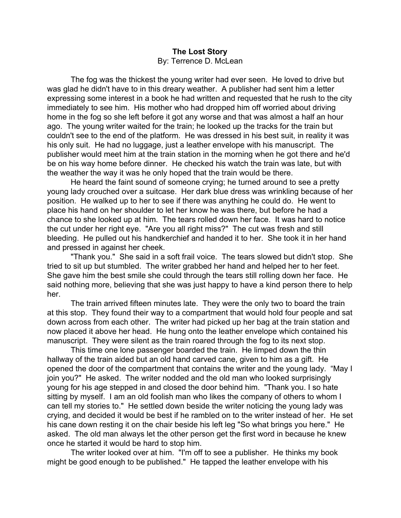## **The Lost Story** By: Terrence D. McLean

The fog was the thickest the young writer had ever seen. He loved to drive but was glad he didn't have to in this dreary weather. A publisher had sent him a letter expressing some interest in a book he had written and requested that he rush to the city immediately to see him. His mother who had dropped him off worried about driving home in the fog so she left before it got any worse and that was almost a half an hour ago. The young writer waited for the train; he looked up the tracks for the train but couldn't see to the end of the platform. He was dressed in his best suit, in reality it was his only suit. He had no luggage, just a leather envelope with his manuscript. The publisher would meet him at the train station in the morning when he got there and he'd be on his way home before dinner. He checked his watch the train was late, but with the weather the way it was he only hoped that the train would be there.

He heard the faint sound of someone crying; he turned around to see a pretty young lady crouched over a suitcase. Her dark blue dress was wrinkling because of her position. He walked up to her to see if there was anything he could do. He went to place his hand on her shoulder to let her know he was there, but before he had a chance to she looked up at him. The tears rolled down her face. It was hard to notice the cut under her right eye. "Are you all right miss?" The cut was fresh and still bleeding. He pulled out his handkerchief and handed it to her. She took it in her hand and pressed in against her cheek.

"Thank you." She said in a soft frail voice. The tears slowed but didn't stop. She tried to sit up but stumbled. The writer grabbed her hand and helped her to her feet. She gave him the best smile she could through the tears still rolling down her face. He said nothing more, believing that she was just happy to have a kind person there to help her.

The train arrived fifteen minutes late. They were the only two to board the train at this stop. They found their way to a compartment that would hold four people and sat down across from each other. The writer had picked up her bag at the train station and now placed it above her head. He hung onto the leather envelope which contained his manuscript. They were silent as the train roared through the fog to its next stop.

This time one lone passenger boarded the train. He limped down the thin hallway of the train aided but an old hand carved cane, given to him as a gift. He opened the door of the compartment that contains the writer and the young lady. "May I join you?" He asked. The writer nodded and the old man who looked surprisingly young for his age stepped in and closed the door behind him. "Thank you. I so hate sitting by myself. I am an old foolish man who likes the company of others to whom I can tell my stories to." He settled down beside the writer noticing the young lady was crying, and decided it would be best if he rambled on to the writer instead of her. He set his cane down resting it on the chair beside his left leg "So what brings you here." He asked. The old man always let the other person get the first word in because he knew once he started it would be hard to stop him.

The writer looked over at him. "I'm off to see a publisher. He thinks my book might be good enough to be published." He tapped the leather envelope with his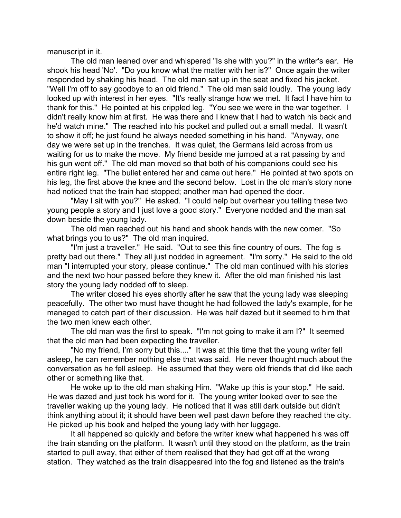manuscript in it.

The old man leaned over and whispered "Is she with you?" in the writer's ear. He shook his head 'No'. "Do you know what the matter with her is?" Once again the writer responded by shaking his head. The old man sat up in the seat and fixed his jacket. "Well I'm off to say goodbye to an old friend." The old man said loudly. The young lady looked up with interest in her eyes. "It's really strange how we met. It fact I have him to thank for this." He pointed at his crippled leg. "You see we were in the war together. I didn't really know him at first. He was there and I knew that I had to watch his back and he'd watch mine." The reached into his pocket and pulled out a small medal. It wasn't to show it off; he just found he always needed something in his hand. "Anyway, one day we were set up in the trenches. It was quiet, the Germans laid across from us waiting for us to make the move. My friend beside me jumped at a rat passing by and his gun went off." The old man moved so that both of his companions could see his entire right leg. "The bullet entered her and came out here." He pointed at two spots on his leg, the first above the knee and the second below. Lost in the old man's story none had noticed that the train had stopped; another man had opened the door.

"May I sit with you?" He asked. "I could help but overhear you telling these two young people a story and I just love a good story." Everyone nodded and the man sat down beside the young lady.

The old man reached out his hand and shook hands with the new comer. "So what brings you to us?" The old man inquired.

"I'm just a traveller." He said. "Out to see this fine country of ours. The fog is pretty bad out there." They all just nodded in agreement. "I'm sorry." He said to the old man "I interrupted your story, please continue." The old man continued with his stories and the next two hour passed before they knew it. After the old man finished his last story the young lady nodded off to sleep.

The writer closed his eyes shortly after he saw that the young lady was sleeping peacefully. The other two must have thought he had followed the lady's example, for he managed to catch part of their discussion. He was half dazed but it seemed to him that the two men knew each other.

The old man was the first to speak. "I'm not going to make it am I?" It seemed that the old man had been expecting the traveller.

"No my friend, I'm sorry but this...." It was at this time that the young writer fell asleep, he can remember nothing else that was said. He never thought much about the conversation as he fell asleep. He assumed that they were old friends that did like each other or something like that.

He woke up to the old man shaking Him. "Wake up this is your stop." He said. He was dazed and just took his word for it. The young writer looked over to see the traveller waking up the young lady. He noticed that it was still dark outside but didn't think anything about it; it should have been well past dawn before they reached the city. He picked up his book and helped the young lady with her luggage.

It all happened so quickly and before the writer knew what happened his was off the train standing on the platform. It wasn't until they stood on the platform, as the train started to pull away, that either of them realised that they had got off at the wrong station. They watched as the train disappeared into the fog and listened as the train's